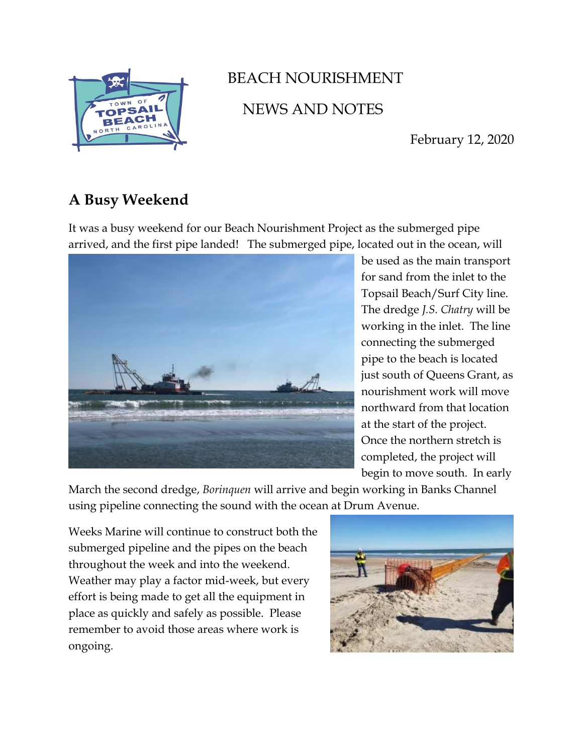

## BEACH NOURISHMENT NEWS AND NOTES

February 12, 2020

## **A Busy Weekend**

It was a busy weekend for our Beach Nourishment Project as the submerged pipe arrived, and the first pipe landed! The submerged pipe, located out in the ocean, will



be used as the main transport for sand from the inlet to the Topsail Beach/Surf City line. The dredge *J.S. Chatry* will be working in the inlet. The line connecting the submerged pipe to the beach is located just south of Queens Grant, as nourishment work will move northward from that location at the start of the project. Once the northern stretch is completed, the project will begin to move south. In early

March the second dredge, *Borinquen* will arrive and begin working in Banks Channel using pipeline connecting the sound with the ocean at Drum Avenue.

Weeks Marine will continue to construct both the submerged pipeline and the pipes on the beach throughout the week and into the weekend. Weather may play a factor mid-week, but every effort is being made to get all the equipment in place as quickly and safely as possible. Please remember to avoid those areas where work is ongoing.